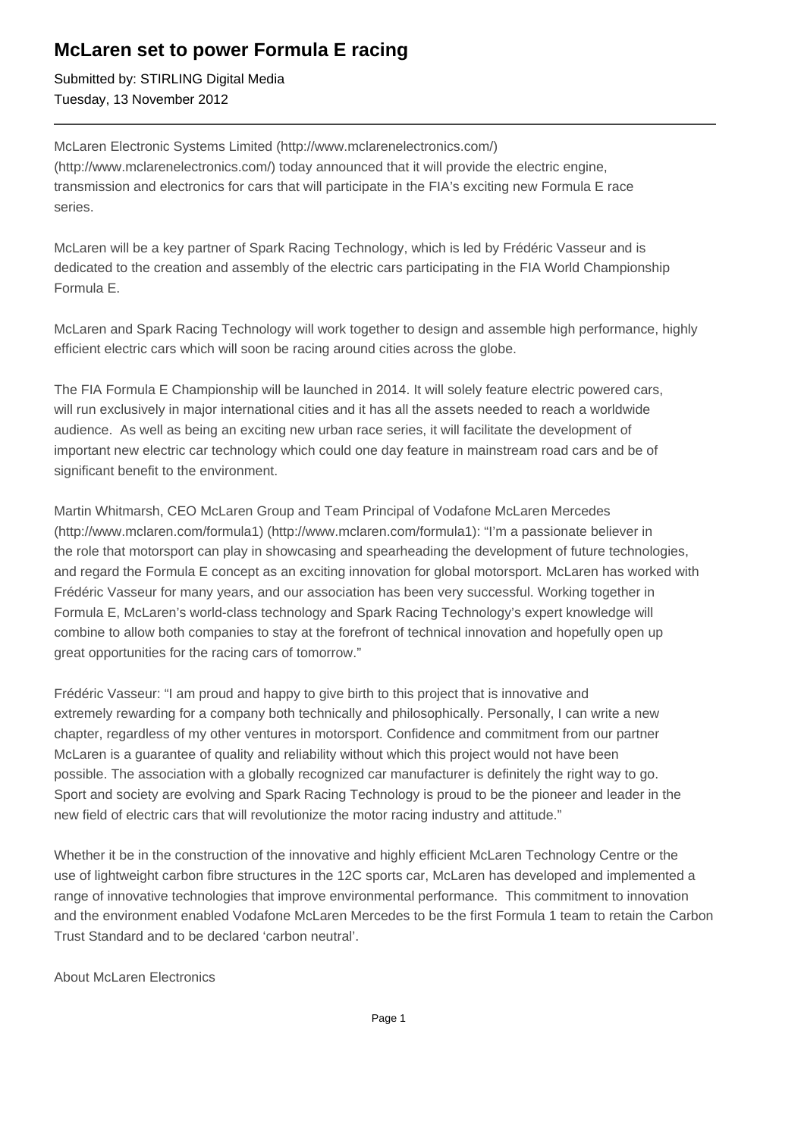## **McLaren set to power Formula E racing**

Submitted by: STIRLING Digital Media Tuesday, 13 November 2012

McLaren Electronic Systems Limited (http://www.mclarenelectronics.com/) (http://www.mclarenelectronics.com/) today announced that it will provide the electric engine, transmission and electronics for cars that will participate in the FIA's exciting new Formula E race series.

McLaren will be a key partner of Spark Racing Technology, which is led by Frédéric Vasseur and is dedicated to the creation and assembly of the electric cars participating in the FIA World Championship Formula E.

McLaren and Spark Racing Technology will work together to design and assemble high performance, highly efficient electric cars which will soon be racing around cities across the globe.

The FIA Formula E Championship will be launched in 2014. It will solely feature electric powered cars, will run exclusively in major international cities and it has all the assets needed to reach a worldwide audience. As well as being an exciting new urban race series, it will facilitate the development of important new electric car technology which could one day feature in mainstream road cars and be of significant benefit to the environment.

Martin Whitmarsh, CEO McLaren Group and Team Principal of Vodafone McLaren Mercedes (http://www.mclaren.com/formula1) (http://www.mclaren.com/formula1): "I'm a passionate believer in the role that motorsport can play in showcasing and spearheading the development of future technologies, and regard the Formula E concept as an exciting innovation for global motorsport. McLaren has worked with Frédéric Vasseur for many years, and our association has been very successful. Working together in Formula E, McLaren's world-class technology and Spark Racing Technology's expert knowledge will combine to allow both companies to stay at the forefront of technical innovation and hopefully open up great opportunities for the racing cars of tomorrow."

Frédéric Vasseur: "I am proud and happy to give birth to this project that is innovative and extremely rewarding for a company both technically and philosophically. Personally, I can write a new chapter, regardless of my other ventures in motorsport. Confidence and commitment from our partner McLaren is a guarantee of quality and reliability without which this project would not have been possible. The association with a globally recognized car manufacturer is definitely the right way to go. Sport and society are evolving and Spark Racing Technology is proud to be the pioneer and leader in the new field of electric cars that will revolutionize the motor racing industry and attitude."

Whether it be in the construction of the innovative and highly efficient McLaren Technology Centre or the use of lightweight carbon fibre structures in the 12C sports car, McLaren has developed and implemented a range of innovative technologies that improve environmental performance. This commitment to innovation and the environment enabled Vodafone McLaren Mercedes to be the first Formula 1 team to retain the Carbon Trust Standard and to be declared 'carbon neutral'.

About McLaren Electronics